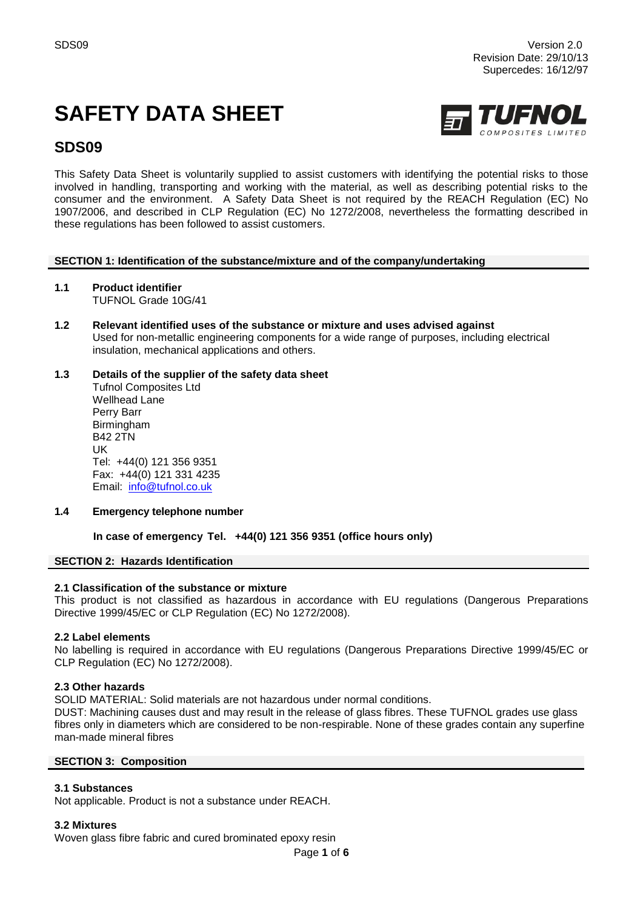# **SAFETY DATA SHEET**



## **SDS09**

This Safety Data Sheet is voluntarily supplied to assist customers with identifying the potential risks to those involved in handling, transporting and working with the material, as well as describing potential risks to the consumer and the environment. A Safety Data Sheet is not required by the REACH Regulation (EC) No 1907/2006, and described in CLP Regulation (EC) No 1272/2008, nevertheless the formatting described in these regulations has been followed to assist customers.

## **SECTION 1: Identification of the substance/mixture and of the company/undertaking**

- **1.1 Product identifier** TUFNOL Grade 10G/41
- **1.2 Relevant identified uses of the substance or mixture and uses advised against** Used for non-metallic engineering components for a wide range of purposes, including electrical insulation, mechanical applications and others.
- **1.3 Details of the supplier of the safety data sheet** Tufnol Composites Ltd

Wellhead Lane Perry Barr Birmingham B42 2TN UK Tel: +44(0) 121 356 9351 Fax: +44(0) 121 331 4235 Email: [info@tufnol.co.uk](mailto:info@tufnol.co.uk)

**1.4 Emergency telephone number**

## **In case of emergency Tel. +44(0) 121 356 9351 (office hours only)**

## **SECTION 2: Hazards Identification**

## **2.1 Classification of the substance or mixture**

This product is not classified as hazardous in accordance with EU regulations (Dangerous Preparations Directive 1999/45/EC or CLP Regulation (EC) No 1272/2008).

## **2.2 Label elements**

No labelling is required in accordance with EU regulations (Dangerous Preparations Directive 1999/45/EC or CLP Regulation (EC) No 1272/2008).

## **2.3 Other hazards**

SOLID MATERIAL: Solid materials are not hazardous under normal conditions.

DUST: Machining causes dust and may result in the release of glass fibres. These TUFNOL grades use glass fibres only in diameters which are considered to be non-respirable. None of these grades contain any superfine man-made mineral fibres

## **SECTION 3: Composition**

## **3.1 Substances**

Not applicable. Product is not a substance under REACH.

## **3.2 Mixtures**

Woven glass fibre fabric and cured brominated epoxy resin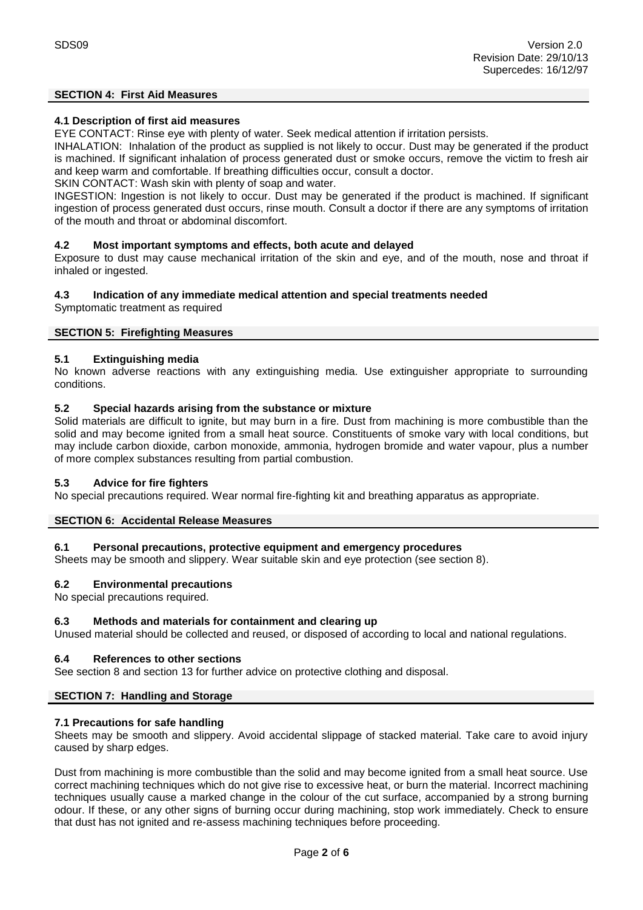## **SECTION 4: First Aid Measures**

## **4.1 Description of first aid measures**

EYE CONTACT: Rinse eye with plenty of water. Seek medical attention if irritation persists.

INHALATION: Inhalation of the product as supplied is not likely to occur. Dust may be generated if the product is machined. If significant inhalation of process generated dust or smoke occurs, remove the victim to fresh air and keep warm and comfortable. If breathing difficulties occur, consult a doctor.

SKIN CONTACT: Wash skin with plenty of soap and water.

INGESTION: Ingestion is not likely to occur. Dust may be generated if the product is machined. If significant ingestion of process generated dust occurs, rinse mouth. Consult a doctor if there are any symptoms of irritation of the mouth and throat or abdominal discomfort.

## **4.2 Most important symptoms and effects, both acute and delayed**

Exposure to dust may cause mechanical irritation of the skin and eye, and of the mouth, nose and throat if inhaled or ingested.

## **4.3 Indication of any immediate medical attention and special treatments needed**

Symptomatic treatment as required

## **SECTION 5: Firefighting Measures**

## **5.1 Extinguishing media**

No known adverse reactions with any extinguishing media. Use extinguisher appropriate to surrounding conditions.

## **5.2 Special hazards arising from the substance or mixture**

Solid materials are difficult to ignite, but may burn in a fire. Dust from machining is more combustible than the solid and may become ignited from a small heat source. Constituents of smoke vary with local conditions, but may include carbon dioxide, carbon monoxide, ammonia, hydrogen bromide and water vapour, plus a number of more complex substances resulting from partial combustion.

## **5.3 Advice for fire fighters**

No special precautions required. Wear normal fire-fighting kit and breathing apparatus as appropriate.

## **SECTION 6: Accidental Release Measures**

## **6.1 Personal precautions, protective equipment and emergency procedures**

Sheets may be smooth and slippery. Wear suitable skin and eye protection (see section 8).

## **6.2 Environmental precautions**

No special precautions required.

## **6.3 Methods and materials for containment and clearing up**

Unused material should be collected and reused, or disposed of according to local and national regulations.

## **6.4 References to other sections**

See section 8 and section 13 for further advice on protective clothing and disposal.

## **SECTION 7: Handling and Storage**

## **7.1 Precautions for safe handling**

Sheets may be smooth and slippery. Avoid accidental slippage of stacked material. Take care to avoid injury caused by sharp edges.

Dust from machining is more combustible than the solid and may become ignited from a small heat source. Use correct machining techniques which do not give rise to excessive heat, or burn the material. Incorrect machining techniques usually cause a marked change in the colour of the cut surface, accompanied by a strong burning odour. If these, or any other signs of burning occur during machining, stop work immediately. Check to ensure that dust has not ignited and re-assess machining techniques before proceeding.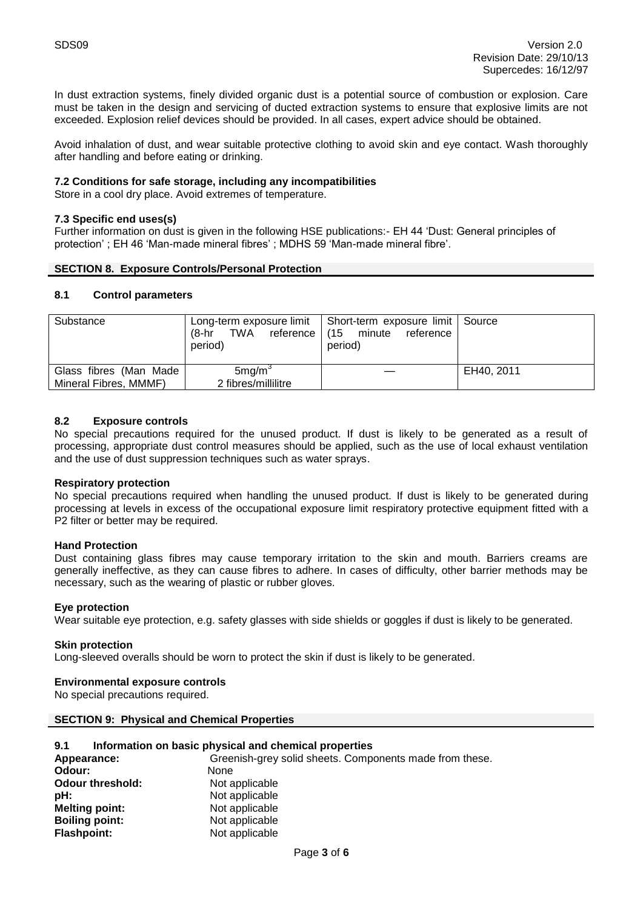In dust extraction systems, finely divided organic dust is a potential source of combustion or explosion. Care must be taken in the design and servicing of ducted extraction systems to ensure that explosive limits are not exceeded. Explosion relief devices should be provided. In all cases, expert advice should be obtained.

Avoid inhalation of dust, and wear suitable protective clothing to avoid skin and eye contact. Wash thoroughly after handling and before eating or drinking.

## **7.2 Conditions for safe storage, including any incompatibilities**

Store in a cool dry place. Avoid extremes of temperature.

#### **7.3 Specific end uses(s)**

Further information on dust is given in the following HSE publications:- EH 44 'Dust: General principles of protection' ; EH 46 'Man-made mineral fibres' ; MDHS 59 'Man-made mineral fibre'.

#### **SECTION 8. Exposure Controls/Personal Protection**

#### **8.1 Control parameters**

| Substance              | $(8-hr)$<br>TWA<br>period) | Long-term exposure limit   Short-term exposure limit   Source<br>reference (15 minute<br>reference<br>period) |            |
|------------------------|----------------------------|---------------------------------------------------------------------------------------------------------------|------------|
| Glass fibres (Man Made | 5mg/m <sup>3</sup>         |                                                                                                               | EH40, 2011 |
| Mineral Fibres, MMMF)  | 2 fibres/millilitre        |                                                                                                               |            |

#### **8.2 Exposure controls**

No special precautions required for the unused product. If dust is likely to be generated as a result of processing, appropriate dust control measures should be applied, such as the use of local exhaust ventilation and the use of dust suppression techniques such as water sprays.

#### **Respiratory protection**

No special precautions required when handling the unused product. If dust is likely to be generated during processing at levels in excess of the occupational exposure limit respiratory protective equipment fitted with a P2 filter or better may be required.

#### **Hand Protection**

Dust containing glass fibres may cause temporary irritation to the skin and mouth. Barriers creams are generally ineffective, as they can cause fibres to adhere. In cases of difficulty, other barrier methods may be necessary, such as the wearing of plastic or rubber gloves.

#### **Eye protection**

Wear suitable eye protection, e.g. safety glasses with side shields or goggles if dust is likely to be generated.

#### **Skin protection**

Long-sleeved overalls should be worn to protect the skin if dust is likely to be generated.

#### **Environmental exposure controls**

No special precautions required.

#### **SECTION 9: Physical and Chemical Properties**

#### **9.1 Information on basic physical and chemical properties**

| Appearance:             | Greenish-grey solid sheets. Components made from these. |
|-------------------------|---------------------------------------------------------|
| Odour:                  | None                                                    |
| <b>Odour threshold:</b> | Not applicable                                          |
| pH:                     | Not applicable                                          |
| <b>Melting point:</b>   | Not applicable                                          |
| <b>Boiling point:</b>   | Not applicable                                          |
| <b>Flashpoint:</b>      | Not applicable                                          |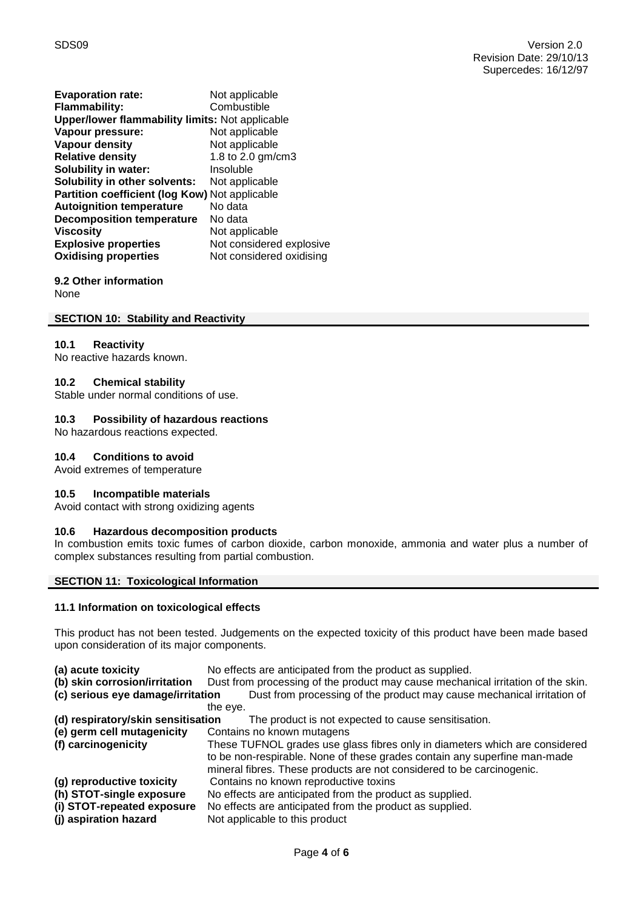| <b>Evaporation rate:</b>                               | Not applicable           |
|--------------------------------------------------------|--------------------------|
| <b>Flammability:</b>                                   | Combustible              |
| <b>Upper/lower flammability limits: Not applicable</b> |                          |
| Vapour pressure:                                       | Not applicable           |
| <b>Vapour density</b>                                  | Not applicable           |
| <b>Relative density</b>                                | 1.8 to 2.0 gm/cm3        |
| <b>Solubility in water:</b>                            | Insoluble                |
| <b>Solubility in other solvents:</b>                   | Not applicable           |
| Partition coefficient (log Kow) Not applicable         |                          |
| <b>Autoignition temperature</b>                        | No data                  |
| <b>Decomposition temperature</b>                       | No data                  |
| <b>Viscosity</b>                                       | Not applicable           |
| <b>Explosive properties</b>                            | Not considered explosive |
| <b>Oxidising properties</b>                            | Not considered oxidising |
|                                                        |                          |

#### **9.2 Other information** None

## **SECTION 10: Stability and Reactivity**

#### **10.1 Reactivity**

No reactive hazards known.

#### **10.2 Chemical stability**

Stable under normal conditions of use.

## **10.3 Possibility of hazardous reactions**

No hazardous reactions expected.

## **10.4 Conditions to avoid**

Avoid extremes of temperature

#### **10.5 Incompatible materials**

Avoid contact with strong oxidizing agents

## **10.6 Hazardous decomposition products**

In combustion emits toxic fumes of carbon dioxide, carbon monoxide, ammonia and water plus a number of complex substances resulting from partial combustion.

#### **SECTION 11: Toxicological Information**

## **11.1 Information on toxicological effects**

This product has not been tested. Judgements on the expected toxicity of this product have been made based upon consideration of its major components.

| (a) acute toxicity                 | No effects are anticipated from the product as supplied.                         |  |  |  |
|------------------------------------|----------------------------------------------------------------------------------|--|--|--|
| (b) skin corrosion/irritation      | Dust from processing of the product may cause mechanical irritation of the skin. |  |  |  |
| (c) serious eye damage/irritation  | Dust from processing of the product may cause mechanical irritation of           |  |  |  |
|                                    | the eye.                                                                         |  |  |  |
| (d) respiratory/skin sensitisation | The product is not expected to cause sensitisation.                              |  |  |  |
| (e) germ cell mutagenicity         | Contains no known mutagens                                                       |  |  |  |
| (f) carcinogenicity                | These TUFNOL grades use glass fibres only in diameters which are considered      |  |  |  |
|                                    | to be non-respirable. None of these grades contain any superfine man-made        |  |  |  |
|                                    | mineral fibres. These products are not considered to be carcinogenic.            |  |  |  |
| (g) reproductive toxicity          | Contains no known reproductive toxins                                            |  |  |  |
| (h) STOT-single exposure           | No effects are anticipated from the product as supplied.                         |  |  |  |
| (i) STOT-repeated exposure         | No effects are anticipated from the product as supplied.                         |  |  |  |
| (j) aspiration hazard              | Not applicable to this product                                                   |  |  |  |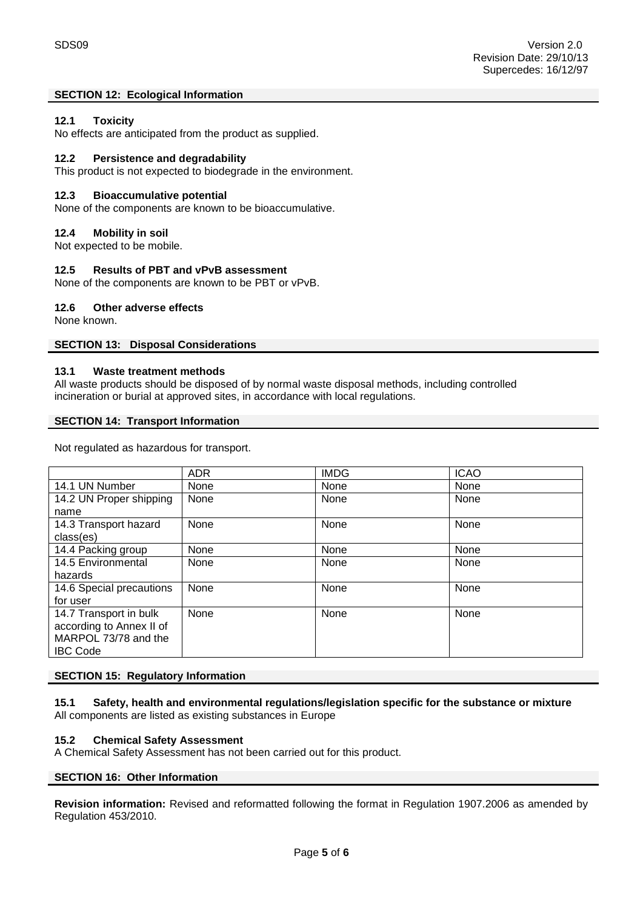## **SECTION 12: Ecological Information**

## **12.1 Toxicity**

No effects are anticipated from the product as supplied.

## **12.2 Persistence and degradability**

This product is not expected to biodegrade in the environment.

## **12.3 Bioaccumulative potential**

None of the components are known to be bioaccumulative.

## **12.4 Mobility in soil**

Not expected to be mobile.

## **12.5 Results of PBT and vPvB assessment**

None of the components are known to be PBT or vPvB.

## **12.6 Other adverse effects**

None known.

#### **SECTION 13: Disposal Considerations**

## **13.1 Waste treatment methods**

All waste products should be disposed of by normal waste disposal methods, including controlled incineration or burial at approved sites, in accordance with local regulations.

#### **SECTION 14: Transport Information**

Not regulated as hazardous for transport.

|                          | <b>ADR</b> | <b>IMDG</b> | <b>ICAO</b> |
|--------------------------|------------|-------------|-------------|
| 14.1 UN Number           | None       | None        | None        |
| 14.2 UN Proper shipping  | None       | None        | None        |
| name                     |            |             |             |
| 14.3 Transport hazard    | None       | None        | None        |
| class(es)                |            |             |             |
| 14.4 Packing group       | None       | None        | None        |
| 14.5 Environmental       | None       | None        | None        |
| hazards                  |            |             |             |
| 14.6 Special precautions | None       | None        | None        |
| for user                 |            |             |             |
| 14.7 Transport in bulk   | None       | None        | None        |
| according to Annex II of |            |             |             |
| MARPOL 73/78 and the     |            |             |             |
| <b>IBC Code</b>          |            |             |             |

## **SECTION 15: Regulatory Information**

**15.1 Safety, health and environmental regulations/legislation specific for the substance or mixture** All components are listed as existing substances in Europe

## **15.2 Chemical Safety Assessment**

A Chemical Safety Assessment has not been carried out for this product.

## **SECTION 16: Other Information**

**Revision information:** Revised and reformatted following the format in Regulation 1907.2006 as amended by Regulation 453/2010.